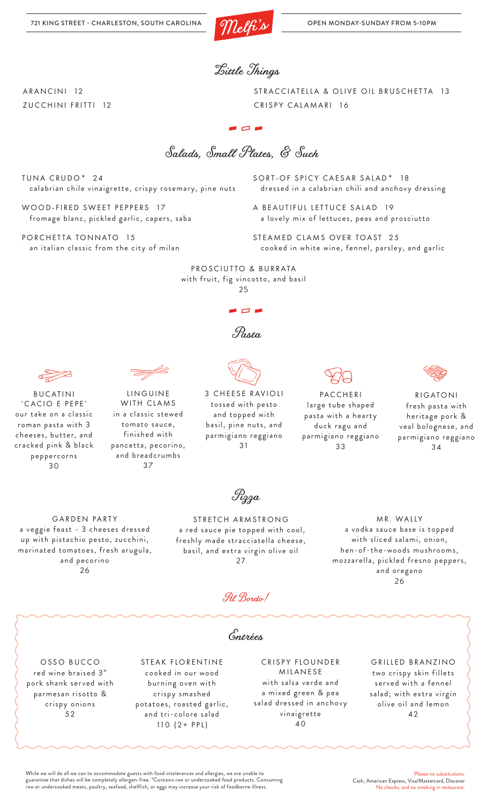

Little Things

ARANCINI 12 ZUCCHINI FRITTI 12 STRACCIATELLA & OLIVE OIL BRUSCHETTA 13 CRISPY CALAMARI 16

Salads, Small Plates, & Such

 $\blacksquare$ 

TUNA CRUDO\* 24 calabrian chile vinaigrette, crispy rosemary, pine nuts

> LINGUINE WITH CLAMS in a classic stewed tomato sauce, finished with pancetta, pecorino, and breadcrumbs 37

WOOD-FIRED SWEET PEPPERS 17 fromage blanc, pickled garlic, capers, saba

PORCHETTA TONNATO 15 an italian classic from the city of milan SORT-OF SPICY CAESAR SALAD\* 18

dressed in a calabrian chili and anchovy dressing

A BEAUTIFUL LETTUCE SALAD 19 a lovely mix of lettuces, peas and prosciutto

STEAMED CLAMS OVER TOAST 25 cooked in white wine, fennel, parsley, and garlic

PROSCIUTTO & BURRATA with fruit, fig vincotto, and basil 25

◾▭◾

Pasta

3 CHEESE RAVIOLI

tossed with pesto and topped with basil, pine nuts, and parmigiano reggiano 31

PACCHERI large tube shaped pasta with a hearty duck ragu and parmigiano reggiano 33



RIGATONI fresh pasta with heritage pork & veal bolognese, and parmigiano reggiano 34

GARDEN PARTY a veggie feast - 3 cheeses dressed up with pistachio pesto, zucchini, marinated tomatoes, fresh arugula, and pecorino 26

**BUCATINI** 'CACIO E PEPE' our take on a classic roman pasta with 3 cheeses, butter, and cracked pink & black peppercorns 30

Pzza

STRETCH ARMSTRONG a red sauce pie topped with cool, freshly made stracciatella cheese, basil, and extra virgin olive oil 27

MR. WALLY a vodka sauce base is topped with sliced salami, onion, hen-of-the-woods mushrooms, mozzarella, pickled fresno peppers, and oregano 26

Al Bordo!

Entrées

OSSO BUCCO red wine braised 3" pork shank served with parmesan risotto & crispy onions 52

STEAK FLORENTINE cooked in our wood burning oven with crispy smashed potatoes, roasted garlic, and tri-colore salad  $110 (2 + PP1)$ 

CRISPY FLOUNDER MILANESE with salsa verde and a mixed green & pea salad dressed in anchovy vinaigrette 4 0

GRILLED BRANZINO two crispy skin fillets served with a fennel salad; with extra virgin olive oil and lemon 42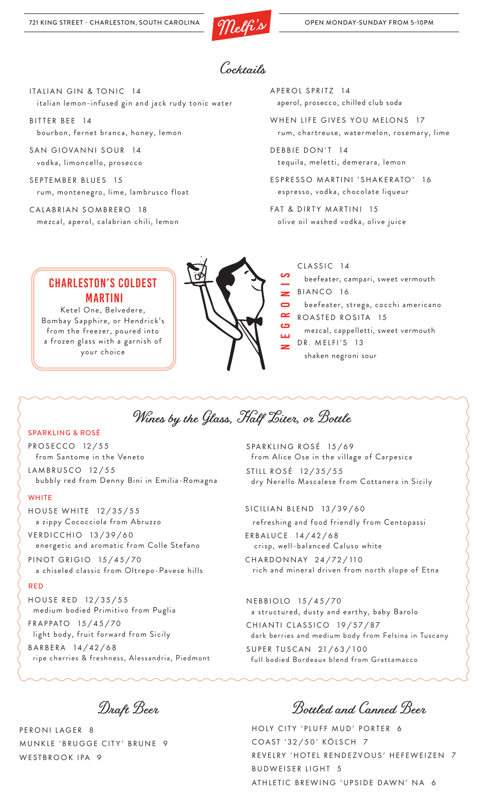

## Cocktails

ITALIAN GIN & TONIC 14 italian lemon-infused gin and jack rudy tonic water

BITTER BEE 14 bourbon, fernet branca, honey, lemon

SAN GIOVANNI SOUR 14 vodka, limoncello, prosecco

SEPTEMBER BLUES 15 rum, montenegro, lime, lambrusco float

CALABRIAN SOMBRERO 18 mezcal, aperol, calabrian chili, lemon A PEROL SPRITZ 14 aperol, prosecco, chilled club soda

WHEN LIFE GIVES YOU MELONS 17 rum, chartreuse, watermelon, rosemary, lime

DEBBIE DON'T 14 tequila, meletti, demerara, lemon

ESPRESSO MARTINI 'SHAKERATO' 16 espresso, vodka, chocolate liqueur

FAT & DIRTY MARTINI 15 olive oil washed vodka, olive juice

### CHARLESTON'S COLDEST MARTINI

Ketel One, Belvedere, Bombay Sapphire, or Hendrick's from the freezer, poured into a frozen glass with a garnish of your choice



 $CIASSIC<sub>14</sub>$ 

beefeater, campari, sweet vermouth

BIANCO 16

N

NS<br>ニ<br>N

G $\approx$  $\bf\bf\bf\bf\bf\bf\bf\bf\bf\bf\bf\bf\bf\bf$  beefeater, strega, cocchi americano ROASTED ROSITA 15

E mezcal, cappelletti, sweet vermouth DR. MELFI'S 13

shaken negroni sour

# Wines by the Glass, Half Liter, or Bottle

#### SPARKLING & ROSÉ

PRO SECCO 12/55 from Santome in the Veneto LAMBRUSCO 12/55 bubbly red from Denny Bini in Emilia-Romagna

#### **WHITE**

HOUSE WHITE 12/35/55 a zippy Cococciola from Abruzzo VERDICCHIO 13/39/60 energetic and aromatic from Colle Stefano

PINOT GRIGIO 15/45/70 a chiseled classic from Oltrepo-Pavese hills

### RED

HOUSE RED 12/35/55 medium bodied Primitivo from Puglia F R A P PATO 15 / 4 5 / 70 light body, fruit forward from Sicily B A R B E R A 14 / 42 / 68 ripe cherries & freshness, Alessandria, Piedmont SPARKLING ROSÉ 15/69 from Alice Ose in the village of Carpesica STILL ROSÉ 12/35/55 dry Nerello Mascalese from Cottanera in Sicily

SICILIAN BLEND 13/39/60 refreshing and food friendly from Centopassi

ERBALUCE 14/42/68 crisp, well-balanced Caluso white CHARDONNAY 24/72/110

rich and mineral driven from north slope of Etna

NEBBIOLO 15/45/70 a structured, dusty and earthy, baby Barolo CHIANTI CLASSICO 19/57/87 dark berries and medium body from Felsina in Tuscany SUPER TUSCAN 21/63/100 full bodied Bordeaux blend from Grattamacco

Draft Beer

PERONI LAGER 8 MUNKLE 'BRUGGE CITY' BRUNE 9 WESTBROOK IPA 9

Bottled and Canned Beer

HOLY CITY 'PLUFF MUD' PORTER 6 COAST '32/50' KÖLSCH 7 REVELRY 'HOTEL RENDEZVOUS' HEFEWEIZEN 7 BUDWEISER LIGHT 5 ATHLETIC BREWING 'UPSIDE DAWN' NA 6